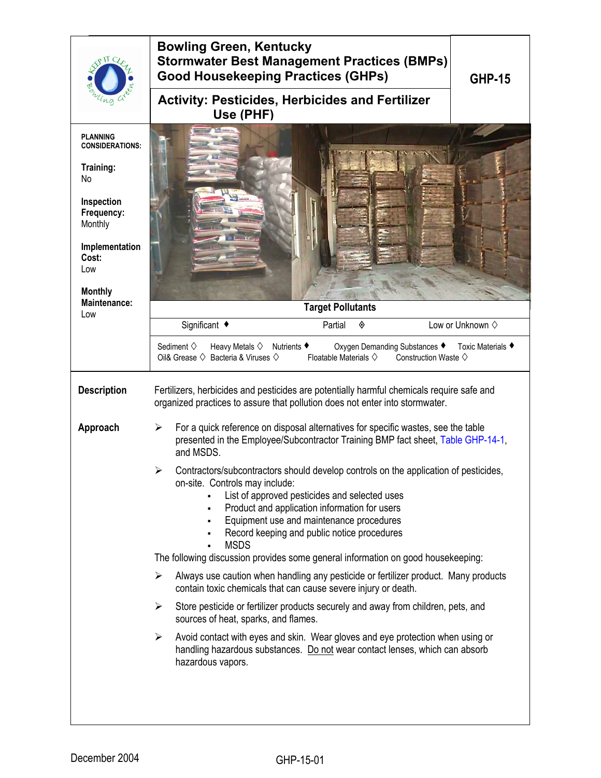